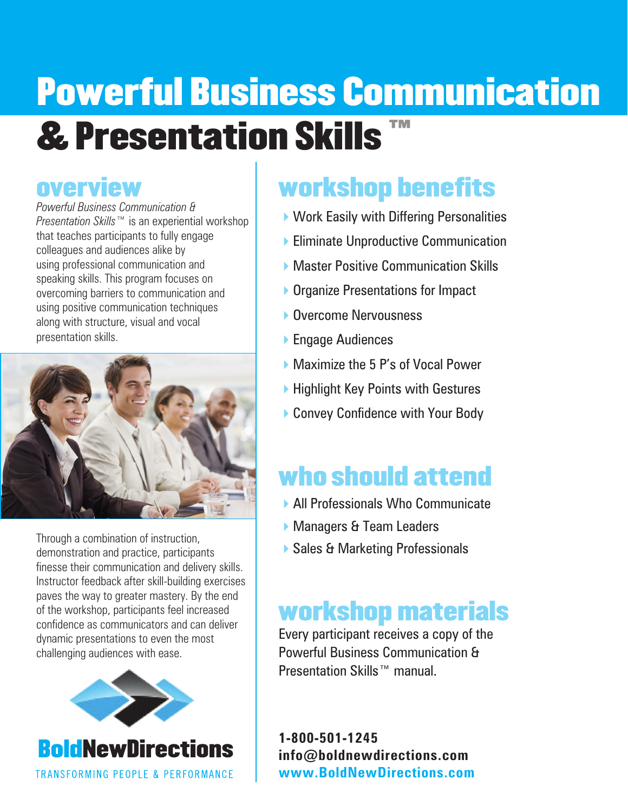# Powerful Business Communication & Presentation Skills ™

### overview

*Powerful Business Communication & Presentation Skills*™ is an experiential workshop that teaches participants to fully engage colleagues and audiences alike by using professional communication and speaking skills. This program focuses on overcoming barriers to communication and using positive communication techniques along with structure, visual and vocal presentation skills.



Through a combination of instruction, demonstration and practice, participants finesse their communication and delivery skills. Instructor feedback after skill-building exercises paves the way to greater mastery. By the end of the workshop, participants feel increased confidence as communicators and can deliver dynamic presentations to even the most challenging audiences with ease.



## workshop benefits

- $\blacktriangleright$  Work Easily with Differing Personalities
- **Eliminate Unproductive Communication**
- ▶ Master Positive Communication Skills
- ▶ Organize Presentations for Impact
- ▶ Overcome Nervousness
- ▶ Engage Audiences
- ▶ Maximize the 5 P's of Vocal Power
- $\blacktriangleright$  Highlight Key Points with Gestures
- ▶ Convey Confidence with Your Body

## who should attend

- 4All Professionals Who Communicate
- Managers & Team Leaders
- ▶ Sales & Marketing Professionals

## workshop materials

Every participant receives a copy of the Powerful Business Communication & Presentation Skills™ manual.

**1-800-501-1245 info@boldnewdirections.com www.BoldNewDirections.com**